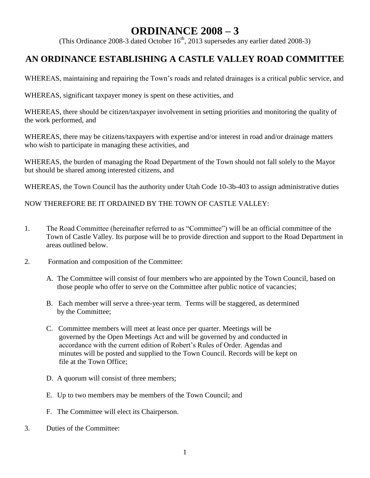## **ORDINANCE 2008 – 3**

(This Ordinance 2008-3 dated October  $16<sup>th</sup>$ , 2013 supersedes any earlier dated 2008-3)

## **AN ORDINANCE ESTABLISHING A CASTLE VALLEY ROAD COMMITTEE**

WHEREAS, maintaining and repairing the Town's roads and related drainages is a critical public service, and

WHEREAS, significant taxpayer money is spent on these activities, and

WHEREAS, there should be citizen/taxpayer involvement in setting priorities and monitoring the quality of the work performed, and

WHEREAS, there may be citizens/taxpayers with expertise and/or interest in road and/or drainage matters who wish to participate in managing these activities, and

WHEREAS, the burden of managing the Road Department of the Town should not fall solely to the Mayor but should be shared among interested citizens, and

WHEREAS, the Town Council has the authority under Utah Code 10-3b-403 to assign administrative duties

NOW THEREFORE BE IT ORDAINED BY THE TOWN OF CASTLE VALLEY:

- 1. The Road Committee (hereinafter referred to as "Committee") will be an official committee of the Town of Castle Valley. Its purpose will be to provide direction and support to the Road Department in areas outlined below.
- 2. Formation and composition of the Committee:
	- A. The Committee will consist of four members who are appointed by the Town Council, based on those people who offer to serve on the Committee after public notice of vacancies;
	- B. Each member will serve a three-year term. Terms will be staggered, as determined by the Committee;
	- C. Committee members will meet at least once per quarter. Meetings will be governed by the Open Meetings Act and will be governed by and conducted in accordance with the current edition of Robert's Rules of Order. Agendas and minutes will be posted and supplied to the Town Council. Records will be kept on file at the Town Office;
	- D. A quorum will consist of three members;
	- E. Up to two members may be members of the Town Council; and
	- F. The Committee will elect its Chairperson.
- 3. Duties of the Committee: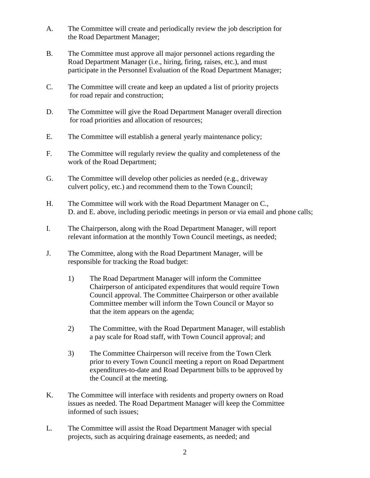- A. The Committee will create and periodically review the job description for the Road Department Manager;
- B. The Committee must approve all major personnel actions regarding the Road Department Manager (i.e., hiring, firing, raises, etc.), and must participate in the Personnel Evaluation of the Road Department Manager;
- C. The Committee will create and keep an updated a list of priority projects for road repair and construction;
- D. The Committee will give the Road Department Manager overall direction for road priorities and allocation of resources;
- E. The Committee will establish a general yearly maintenance policy;
- F. The Committee will regularly review the quality and completeness of the work of the Road Department;
- G. The Committee will develop other policies as needed (e.g., driveway culvert policy, etc.) and recommend them to the Town Council;
- H. The Committee will work with the Road Department Manager on C., D. and E. above, including periodic meetings in person or via email and phone calls;
- I. The Chairperson, along with the Road Department Manager, will report relevant information at the monthly Town Council meetings, as needed;
- J. The Committee, along with the Road Department Manager, will be responsible for tracking the Road budget:
	- 1) The Road Department Manager will inform the Committee Chairperson of anticipated expenditures that would require Town Council approval. The Committee Chairperson or other available Committee member will inform the Town Council or Mayor so that the item appears on the agenda;
	- 2) The Committee, with the Road Department Manager, will establish a pay scale for Road staff, with Town Council approval; and
	- 3) The Committee Chairperson will receive from the Town Clerk prior to every Town Council meeting a report on Road Department expenditures-to-date and Road Department bills to be approved by the Council at the meeting.
- K. The Committee will interface with residents and property owners on Road issues as needed. The Road Department Manager will keep the Committee informed of such issues;
- L. The Committee will assist the Road Department Manager with special projects, such as acquiring drainage easements, as needed; and